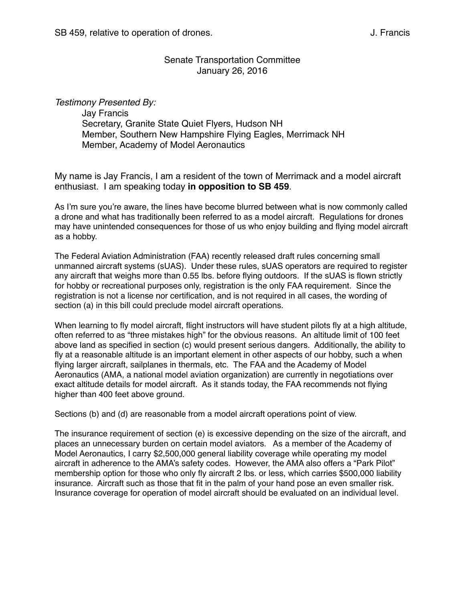### Senate Transportation Committee January 26, 2016

*Testimony Presented By:* Jay Francis Secretary, Granite State Quiet Flyers, Hudson NH Member, Southern New Hampshire Flying Eagles, Merrimack NH Member, Academy of Model Aeronautics

My name is Jay Francis, I am a resident of the town of Merrimack and a model aircraft enthusiast. I am speaking today **in opposition to SB 459**.

As I'm sure you're aware, the lines have become blurred between what is now commonly called a drone and what has traditionally been referred to as a model aircraft. Regulations for drones may have unintended consequences for those of us who enjoy building and flying model aircraft as a hobby.

The Federal Aviation Administration (FAA) recently released draft rules concerning small unmanned aircraft systems (sUAS). Under these rules, sUAS operators are required to register any aircraft that weighs more than 0.55 lbs. before flying outdoors. If the sUAS is flown strictly for hobby or recreational purposes only, registration is the only FAA requirement. Since the registration is not a license nor certification, and is not required in all cases, the wording of section (a) in this bill could preclude model aircraft operations.

When learning to fly model aircraft, flight instructors will have student pilots fly at a high altitude, often referred to as "three mistakes high" for the obvious reasons. An altitude limit of 100 feet above land as specified in section (c) would present serious dangers. Additionally, the ability to fly at a reasonable altitude is an important element in other aspects of our hobby, such a when flying larger aircraft, sailplanes in thermals, etc. The FAA and the Academy of Model Aeronautics (AMA, a national model aviation organization) are currently in negotiations over exact altitude details for model aircraft. As it stands today, the FAA recommends not flying higher than 400 feet above ground.

Sections (b) and (d) are reasonable from a model aircraft operations point of view.

The insurance requirement of section (e) is excessive depending on the size of the aircraft, and places an unnecessary burden on certain model aviators. As a member of the Academy of Model Aeronautics, I carry \$2,500,000 general liability coverage while operating my model aircraft in adherence to the AMA's safety codes. However, the AMA also offers a "Park Pilot" membership option for those who only fly aircraft 2 lbs. or less, which carries \$500,000 liability insurance. Aircraft such as those that fit in the palm of your hand pose an even smaller risk. Insurance coverage for operation of model aircraft should be evaluated on an individual level.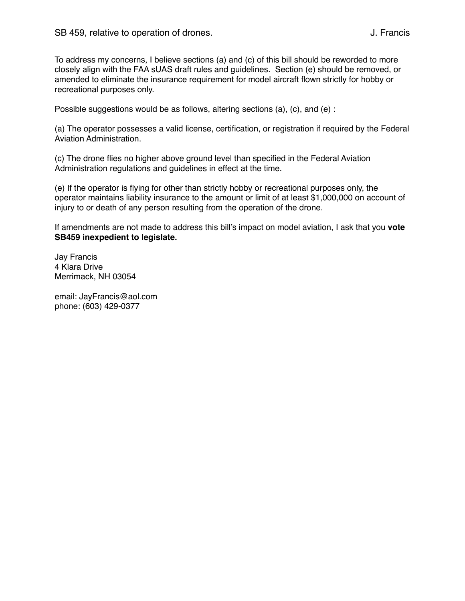To address my concerns, I believe sections (a) and (c) of this bill should be reworded to more closely align with the FAA sUAS draft rules and guidelines. Section (e) should be removed, or amended to eliminate the insurance requirement for model aircraft flown strictly for hobby or recreational purposes only.

Possible suggestions would be as follows, altering sections (a), (c), and (e) :

(a) The operator possesses a valid license, certification, or registration if required by the Federal Aviation Administration.

(c) The drone flies no higher above ground level than specified in the Federal Aviation Administration regulations and guidelines in effect at the time.

(e) If the operator is flying for other than strictly hobby or recreational purposes only, the operator maintains liability insurance to the amount or limit of at least \$1,000,000 on account of injury to or death of any person resulting from the operation of the drone.

If amendments are not made to address this bill's impact on model aviation, I ask that you **vote SB459 inexpedient to legislate.**

Jay Francis 4 Klara Drive Merrimack, NH 03054

email: JayFrancis@aol.com phone: (603) 429-0377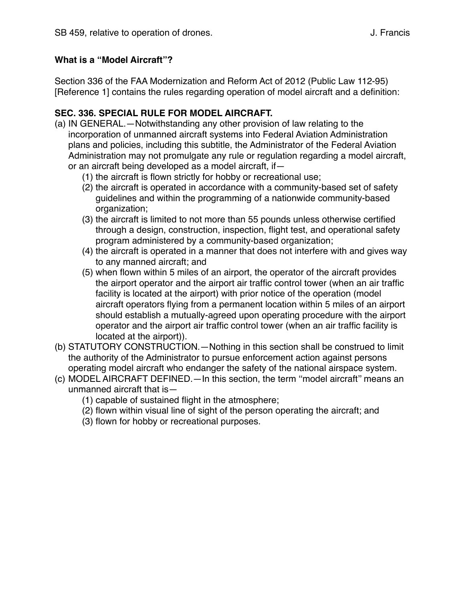## **What is a "Model Aircraft"?**

Section 336 of the FAA Modernization and Reform Act of 2012 (Public Law 112-95) [Reference 1] contains the rules regarding operation of model aircraft and a definition:

## **SEC. 336. SPECIAL RULE FOR MODEL AIRCRAFT.**

- (a) IN GENERAL.—Notwithstanding any other provision of law relating to the incorporation of unmanned aircraft systems into Federal Aviation Administration plans and policies, including this subtitle, the Administrator of the Federal Aviation Administration may not promulgate any rule or regulation regarding a model aircraft, or an aircraft being developed as a model aircraft, if—
	- (1) the aircraft is flown strictly for hobby or recreational use;
	- (2) the aircraft is operated in accordance with a community-based set of safety guidelines and within the programming of a nationwide community-based organization;
	- (3) the aircraft is limited to not more than 55 pounds unless otherwise certified through a design, construction, inspection, flight test, and operational safety program administered by a community-based organization;
	- (4) the aircraft is operated in a manner that does not interfere with and gives way to any manned aircraft; and
	- (5) when flown within 5 miles of an airport, the operator of the aircraft provides the airport operator and the airport air traffic control tower (when an air traffic facility is located at the airport) with prior notice of the operation (model aircraft operators flying from a permanent location within 5 miles of an airport should establish a mutually-agreed upon operating procedure with the airport operator and the airport air traffic control tower (when an air traffic facility is located at the airport)).
- (b) STATUTORY CONSTRUCTION.—Nothing in this section shall be construed to limit the authority of the Administrator to pursue enforcement action against persons operating model aircraft who endanger the safety of the national airspace system.
- (c) MODEL AIRCRAFT DEFINED.—In this section, the term ''model aircraft'' means an unmanned aircraft that is—
	- (1) capable of sustained flight in the atmosphere;
	- (2) flown within visual line of sight of the person operating the aircraft; and
	- (3) flown for hobby or recreational purposes.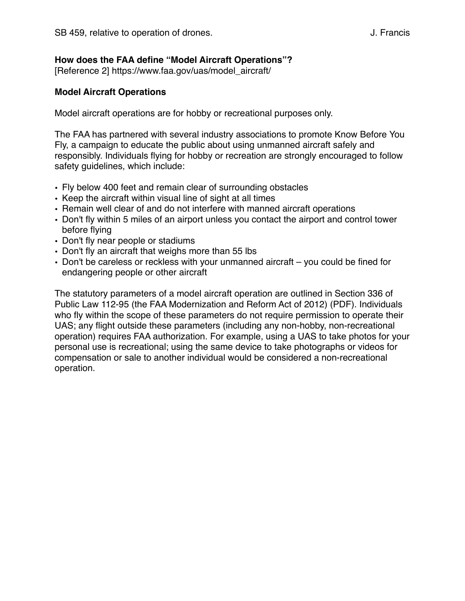### **How does the FAA define "Model Aircraft Operations"?**

[Reference 2] https://www.faa.gov/uas/model\_aircraft/

### **Model Aircraft Operations**

Model aircraft operations are for hobby or recreational purposes only.

The FAA has partnered with several industry associations to promote Know Before You Fly, a campaign to educate the public about using unmanned aircraft safely and responsibly. Individuals flying for hobby or recreation are strongly encouraged to follow safety guidelines, which include:

- Fly below 400 feet and remain clear of surrounding obstacles
- Keep the aircraft within visual line of sight at all times
- Remain well clear of and do not interfere with manned aircraft operations
- Don't fly within 5 miles of an airport unless you contact the airport and control tower before flying
- Don't fly near people or stadiums
- Don't fly an aircraft that weighs more than 55 lbs
- Don't be careless or reckless with your unmanned aircraft you could be fined for endangering people or other aircraft

The statutory parameters of a model aircraft operation are outlined in Section 336 of Public Law 112-95 (the FAA Modernization and Reform Act of 2012) (PDF). Individuals who fly within the scope of these parameters do not require permission to operate their UAS; any flight outside these parameters (including any non-hobby, non-recreational operation) requires FAA authorization. For example, using a UAS to take photos for your personal use is recreational; using the same device to take photographs or videos for compensation or sale to another individual would be considered a non-recreational operation.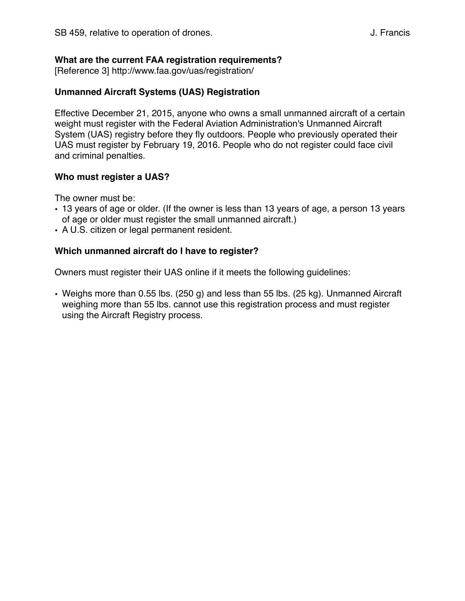### **What are the current FAA registration requirements?**

[Reference 3] http://www.faa.gov/uas/registration/

#### **Unmanned Aircraft Systems (UAS) Registration**

Effective December 21, 2015, anyone who owns a small unmanned aircraft of a certain weight must register with the Federal Aviation Administration's Unmanned Aircraft System (UAS) registry before they fly outdoors. People who previously operated their UAS must register by February 19, 2016. People who do not register could face civil and criminal penalties.

#### **Who must register a UAS?**

The owner must be:

- 13 years of age or older. (If the owner is less than 13 years of age, a person 13 years of age or older must register the small unmanned aircraft.)
- A U.S. citizen or legal permanent resident.

#### **Which unmanned aircraft do I have to register?**

Owners must register their UAS online if it meets the following guidelines:

• Weighs more than 0.55 lbs. (250 g) and less than 55 lbs. (25 kg). Unmanned Aircraft weighing more than 55 lbs. cannot use this registration process and must register using the Aircraft Registry process.